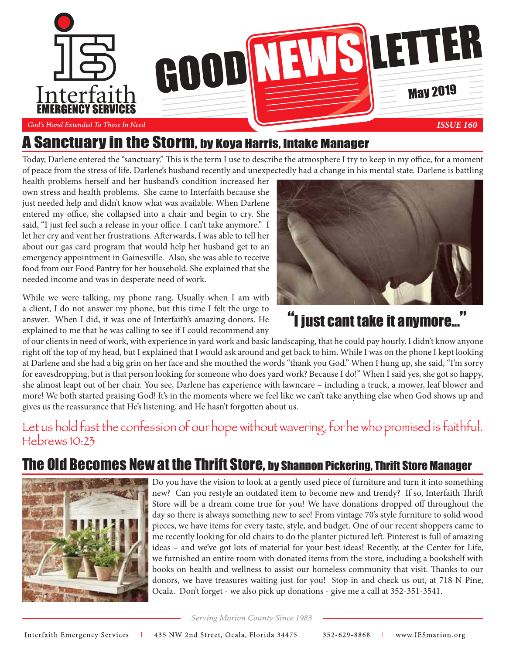

## A Sanctuary in the Storm, by Koya Harris, Intake Manager

Today, Darlene entered the "sanctuary." This is the term I use to describe the atmosphere I try to keep in my office, for a moment of peace from the stress of life. Darlene's husband recently and unexpectedly had a change in his mental state. Darlene is battling

health problems herself and her husband's condition increased her own stress and health problems. She came to Interfaith because she just needed help and didn't know what was available. When Darlene entered my office, she collapsed into a chair and begin to cry. She said, "I just feel such a release in your office. I can't take anymore." I let her cry and vent her frustrations. Afterwards, I was able to tell her about our gas card program that would help her husband get to an emergency appointment in Gainesville. Also, she was able to receive food from our Food Pantry for her household. She explained that she needed income and was in desperate need of work.

While we were talking, my phone rang. Usually when I am with a client, I do not answer my phone, but this time I felt the urge to answer. When I did, it was one of Interfaith's amazing donors. He explained to me that he was calling to see if I could recommend any



# **"I just cant take it anymore...**

of our clients in need of work, with experience in yard work and basic landscaping, that he could pay hourly. I didn't know anyone right off the top of my head, but I explained that I would ask around and get back to him. While I was on the phone I kept looking at Darlene and she had a big grin on her face and she mouthed the words "thank you God." When I hung up, she said, "I'm sorry for eavesdropping, but is that person looking for someone who does yard work? Because I do!" When I said yes, she got so happy, she almost leapt out of her chair. You see, Darlene has experience with lawncare – including a truck, a mower, leaf blower and more! We both started praising God! It's in the moments where we feel like we can't take anything else when God shows up and gives us the reassurance that He's listening, and He hasn't forgotten about us.

## Let us hold fast the confession of our hope without wavering, for he who promised is faithful.  $H<sub>1</sub>$   $H<sub>2</sub>$

## **1e Old Becomes New at the Thrift Store, by Shannon Pickering, Thrift Store Manager**



Do you have the vision to look at a gently used piece of furniture and turn it into something new? Can you restyle an outdated item to become new and trendy? If so, Interfaith Thrift Store will be a dream come true for you! We have donations dropped off throughout the day so there is always something new to see! From vintage 70's style furniture to solid wood pieces, we have items for every taste, style, and budget. One of our recent shoppers came to me recently looking for old chairs to do the planter pictured left. Pinterest is full of amazing ideas – and we've got lots of material for your best ideas! Recently, at the Center for Life, we furnished an entire room with donated items from the store, including a bookshelf with books on health and wellness to assist our homeless community that visit. Thanks to our donors, we have treasures waiting just for you! Stop in and check us out, at 718 N Pine, Ocala. Don't forget - we also pick up donations - give me a call at 352-351-3541.

Serving Marion County Since 1983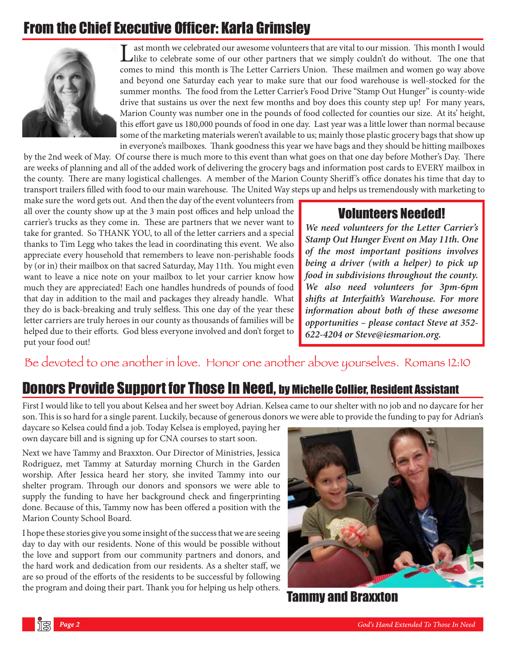# From the Chief Executive Officer: Karla Grimsley



ast month we celebrated our awesome volunteers that are vital to our mission. This month I would like to celebrate some of our other partners that we simply couldn't do without. The one that comes to mind this month is The Letter Carriers Union. These mailmen and women go way above and beyond one Saturday each year to make sure that our food warehouse is well-stocked for the summer months. The food from the Letter Carrier's Food Drive "Stamp Out Hunger" is county-wide drive that sustains us over the next few months and boy does this county step up! For many years, Marion County was number one in the pounds of food collected for counties our size. At its' height, this effort gave us 180,000 pounds of food in one day. Last year was a little lower than normal because some of the marketing materials weren't available to us; mainly those plastic grocery bags that show up in everyone's mailboxes. Thank goodness this year we have bags and they should be hitting mailboxes

by the 2nd week of May. Of course there is much more to this event than what goes on that one day before Mother's Day. There are weeks of planning and all of the added work of delivering the grocery bags and information post cards to EVERY mailbox in the county. There are many logistical challenges. A member of the Marion County Sheriff 's office donates his time that day to transport trailers filled with food to our main warehouse. The United Way steps up and helps us tremendously with marketing to

make sure the word gets out. And then the day of the event volunteers from all over the county show up at the 3 main post offices and help unload the carrier's trucks as they come in. These are partners that we never want to take for granted. So THANK YOU, to all of the letter carriers and a special thanks to Tim Legg who takes the lead in coordinating this event. We also appreciate every household that remembers to leave non-perishable foods by (or in) their mailbox on that sacred Saturday, May 11th. You might even want to leave a nice note on your mailbox to let your carrier know how much they are appreciated! Each one handles hundreds of pounds of food that day in addition to the mail and packages they already handle. What they do is back-breaking and truly selfless. This one day of the year these letter carriers are truly heroes in our county as thousands of families will be helped due to their efforts. God bless everyone involved and don't forget to put your food out!

#### Volunteers Needed!

*We need volunteers for the Letter Carrier's Stamp Out Hunger Event on May 11th. One of the most important positions involves being a driver (with a helper) to pick up food in subdivisions throughout the county. We also need volunteers for 3pm-6pm shifts at Interfaith's Warehouse. For more information about both of these awesome opportunities – please contact Steve at 352- 622-4204 or Steve@iesmarion.org.* 

### Be devoted to one another in love. Honor one another above yourselves. Romans 12:10

### Donors Provide Support for Those In Need, by Michelle Collier, Resident Assistant

First I would like to tell you about Kelsea and her sweet boy Adrian. Kelsea came to our shelter with no job and no daycare for her son. This is so hard for a single parent. Luckily, because of generous donors we were able to provide the funding to pay for Adrian's

daycare so Kelsea could find a job. Today Kelsea is employed, paying her own daycare bill and is signing up for CNA courses to start soon.

Next we have Tammy and Braxxton. Our Director of Ministries, Jessica Rodriguez, met Tammy at Saturday morning Church in the Garden worship. After Jessica heard her story, she invited Tammy into our shelter program. Through our donors and sponsors we were able to supply the funding to have her background check and fingerprinting done. Because of this, Tammy now has been offered a position with the Marion County School Board.

I hope these stories give you some insight of the success that we are seeing day to day with our residents. None of this would be possible without the love and support from our community partners and donors, and the hard work and dedication from our residents. As a shelter staff, we are so proud of the efforts of the residents to be successful by following the program and doing their part. Thank you for helping us help others.



Tammy and Braxxton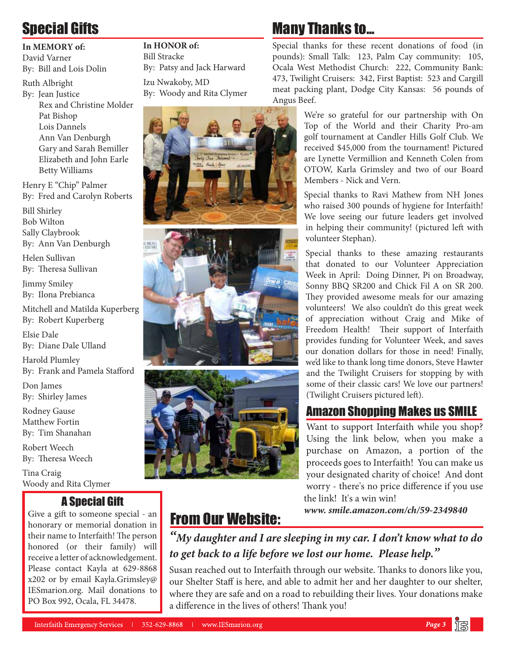# Special Gifts

#### **In MEMORY of:**

David Varner By: Bill and Lois Dolin

Ruth Albright

By: Jean Justice Rex and Christine Molder Pat Bishop Lois Dannels Ann Van Denburgh Gary and Sarah Bemiller Elizabeth and John Earle Betty Williams

Henry E "Chip" Palmer By: Fred and Carolyn Roberts

Bill Shirley Bob Wilton Sally Claybrook By: Ann Van Denburgh

Helen Sullivan By: Theresa Sullivan

Jimmy Smiley By: Ilona Prebianca

Mitchell and Matilda Kuperberg By: Robert Kuperberg

Elsie Dale By: Diane Dale Ulland

Harold Plumley By: Frank and Pamela Stafford

Don James By: Shirley James

Rodney Gause Matthew Fortin By: Tim Shanahan

Robert Weech By: Theresa Weech

Tina Craig Woody and Rita Clymer

### A Special Gift

Give a gift to someone special - an honorary or memorial donation in their name to Interfaith! The person honored (or their family) will receive a letter of acknowledgement. Please contact Kayla at 629-8868 x202 or by email Kayla.Grimsley@ IESmarion.org. Mail donations to PO Box 992, Ocala, FL 34478.

**In HONOR of:**  Bill Stracke By: Patsy and Jack Harward Izu Nwakoby, MD By: Woody and Rita Clymer







# Many Thanks to...

Special thanks for these recent donations of food (in pounds): Small Talk: 123, Palm Cay community: 105, Ocala West Methodist Church: 222, Community Bank: 473, Twilight Cruisers: 342, First Baptist: 523 and Cargill meat packing plant, Dodge City Kansas: 56 pounds of Angus Beef.

> We're so grateful for our partnership with On Top of the World and their Charity Pro-am golf tournament at Candler Hills Golf Club. We received \$45,000 from the tournament! Pictured are Lynette Vermillion and Kenneth Colen from OTOW, Karla Grimsley and two of our Board Members - Nick and Vern.

> Special thanks to Ravi Mathew from NH Jones who raised 300 pounds of hygiene for Interfaith! We love seeing our future leaders get involved in helping their community! (pictured left with volunteer Stephan).

> Special thanks to these amazing restaurants that donated to our Volunteer Appreciation Week in April: Doing Dinner, Pi on Broadway, Sonny BBQ SR200 and Chick Fil A on SR 200. They provided awesome meals for our amazing volunteers! We also couldn't do this great week of appreciation without Craig and Mike of Freedom Health! Their support of Interfaith provides funding for Volunteer Week, and saves our donation dollars for those in need! Finally, we'd like to thank long time donors, Steve Hawter and the Twilight Cruisers for stopping by with some of their classic cars! We love our partners! (Twilight Cruisers pictured left).

### Amazon Shopping Makes us SMILE

Want to support Interfaith while you shop? Using the link below, when you make a purchase on Amazon, a portion of the proceeds goes to Interfaith! You can make us your designated charity of choice! And dont worry - there's no price difference if you use the link! It's a win win!

*www. smile.amazon.com/ch/59-2349840*

# From Our Website:

*"My daughter and I are sleeping in my car. I don't know what to do to get back to a life before we lost our home. Please help."*

Susan reached out to Interfaith through our website. Thanks to donors like you, our Shelter Staff is here, and able to admit her and her daughter to our shelter, where they are safe and on a road to rebuilding their lives. Your donations make a difference in the lives of others! Thank you!